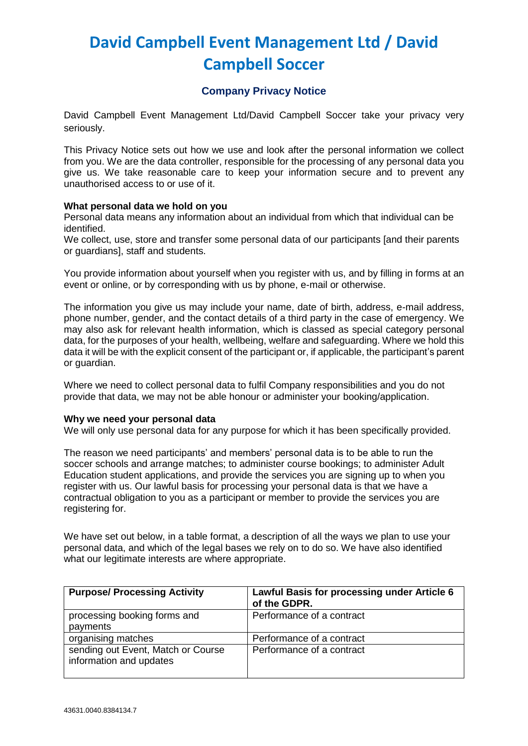# **David Campbell Event Management Ltd / David Campbell Soccer**

# **Company Privacy Notice**

David Campbell Event Management Ltd/David Campbell Soccer take your privacy very seriously.

This Privacy Notice sets out how we use and look after the personal information we collect from you. We are the data controller, responsible for the processing of any personal data you give us. We take reasonable care to keep your information secure and to prevent any unauthorised access to or use of it.

## **What personal data we hold on you**

Personal data means any information about an individual from which that individual can be identified.

We collect, use, store and transfer some personal data of our participants [and their parents or guardians], staff and students.

You provide information about yourself when you register with us, and by filling in forms at an event or online, or by corresponding with us by phone, e-mail or otherwise.

The information you give us may include your name, date of birth, address, e-mail address, phone number, gender, and the contact details of a third party in the case of emergency. We may also ask for relevant health information, which is classed as special category personal data, for the purposes of your health, wellbeing, welfare and safeguarding. Where we hold this data it will be with the explicit consent of the participant or, if applicable, the participant's parent or guardian.

Where we need to collect personal data to fulfil Company responsibilities and you do not provide that data, we may not be able honour or administer your booking/application.

#### **Why we need your personal data**

We will only use personal data for any purpose for which it has been specifically provided.

The reason we need participants' and members' personal data is to be able to run the soccer schools and arrange matches; to administer course bookings; to administer Adult Education student applications, and provide the services you are signing up to when you register with us. Our lawful basis for processing your personal data is that we have a contractual obligation to you as a participant or member to provide the services you are registering for.

We have set out below, in a table format, a description of all the ways we plan to use your personal data, and which of the legal bases we rely on to do so. We have also identified what our legitimate interests are where appropriate.

| <b>Purpose/ Processing Activity</b>                           | Lawful Basis for processing under Article 6<br>of the GDPR. |
|---------------------------------------------------------------|-------------------------------------------------------------|
| processing booking forms and<br>payments                      | Performance of a contract                                   |
| organising matches                                            | Performance of a contract                                   |
| sending out Event, Match or Course<br>information and updates | Performance of a contract                                   |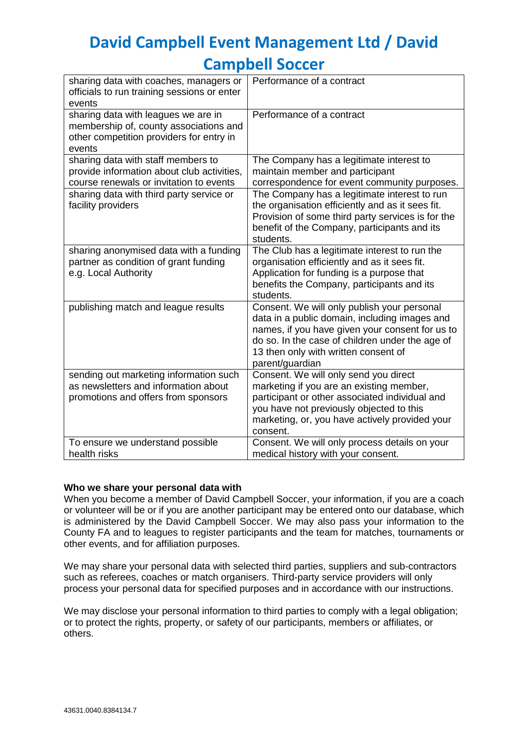# **David Campbell Event Management Ltd / David Campbell Soccer**

| sharing data with coaches, managers or<br>officials to run training sessions or enter<br>events                                     | Performance of a contract                                                                                                                                                                                                                                     |
|-------------------------------------------------------------------------------------------------------------------------------------|---------------------------------------------------------------------------------------------------------------------------------------------------------------------------------------------------------------------------------------------------------------|
| sharing data with leagues we are in<br>membership of, county associations and<br>other competition providers for entry in<br>events | Performance of a contract                                                                                                                                                                                                                                     |
| sharing data with staff members to<br>provide information about club activities,<br>course renewals or invitation to events         | The Company has a legitimate interest to<br>maintain member and participant<br>correspondence for event community purposes.                                                                                                                                   |
| sharing data with third party service or<br>facility providers                                                                      | The Company has a legitimate interest to run<br>the organisation efficiently and as it sees fit.<br>Provision of some third party services is for the<br>benefit of the Company, participants and its<br>students.                                            |
| sharing anonymised data with a funding<br>partner as condition of grant funding<br>e.g. Local Authority                             | The Club has a legitimate interest to run the<br>organisation efficiently and as it sees fit.<br>Application for funding is a purpose that<br>benefits the Company, participants and its<br>students.                                                         |
| publishing match and league results                                                                                                 | Consent. We will only publish your personal<br>data in a public domain, including images and<br>names, if you have given your consent for us to<br>do so. In the case of children under the age of<br>13 then only with written consent of<br>parent/guardian |
| sending out marketing information such<br>as newsletters and information about<br>promotions and offers from sponsors               | Consent. We will only send you direct<br>marketing if you are an existing member,<br>participant or other associated individual and<br>you have not previously objected to this<br>marketing, or, you have actively provided your<br>consent.                 |
| To ensure we understand possible<br>health risks                                                                                    | Consent. We will only process details on your<br>medical history with your consent.                                                                                                                                                                           |

# **Who we share your personal data with**

When you become a member of David Campbell Soccer, your information, if you are a coach or volunteer will be or if you are another participant may be entered onto our database, which is administered by the David Campbell Soccer. We may also pass your information to the County FA and to leagues to register participants and the team for matches, tournaments or other events, and for affiliation purposes.

We may share your personal data with selected third parties, suppliers and sub-contractors such as referees, coaches or match organisers. Third-party service providers will only process your personal data for specified purposes and in accordance with our instructions.

We may disclose your personal information to third parties to comply with a legal obligation; or to protect the rights, property, or safety of our participants, members or affiliates, or others.